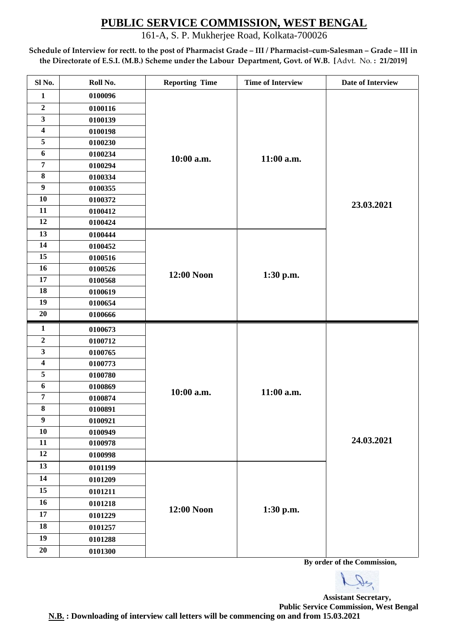161-A, S. P. Mukherjee Road, Kolkata-700026

**Schedule of Interview for rectt. to the post of Pharmacist Grade – III / Pharmacist–cum-Salesman – Grade – III in the Directorate of E.S.I. (M.B.) Scheme under the Labour Department, Govt. of W.B. [**Advt. No. **: 21/2019]**

| Sl No.                  | Roll No. | <b>Reporting Time</b> | <b>Time of Interview</b> | Date of Interview |
|-------------------------|----------|-----------------------|--------------------------|-------------------|
| $\mathbf{1}$            | 0100096  |                       |                          |                   |
| $\boldsymbol{2}$        | 0100116  |                       |                          |                   |
| $\overline{\mathbf{3}}$ | 0100139  |                       |                          |                   |
| $\overline{\mathbf{4}}$ | 0100198  |                       |                          |                   |
| 5                       | 0100230  |                       |                          |                   |
| 6                       | 0100234  | 10:00 a.m.            | 11:00 a.m.               |                   |
| $\overline{7}$          | 0100294  |                       |                          |                   |
| $\bf 8$                 | 0100334  |                       |                          |                   |
| $\boldsymbol{9}$        | 0100355  |                       |                          |                   |
| 10                      | 0100372  |                       |                          | 23.03.2021        |
| 11                      | 0100412  |                       |                          |                   |
| 12                      | 0100424  |                       |                          |                   |
| 13                      | 0100444  |                       |                          |                   |
| 14                      | 0100452  |                       |                          |                   |
| 15                      | 0100516  |                       |                          |                   |
| 16                      | 0100526  | 12:00 Noon            | 1:30 p.m.                |                   |
| 17                      | 0100568  |                       |                          |                   |
| 18                      | 0100619  |                       |                          |                   |
| 19                      | 0100654  |                       |                          |                   |
| 20                      | 0100666  |                       |                          |                   |
| $\mathbf{1}$            | 0100673  |                       |                          |                   |
| $\mathbf 2$             | 0100712  |                       | 11:00 a.m.               |                   |
| $\overline{\mathbf{3}}$ | 0100765  |                       |                          |                   |
| $\overline{\mathbf{4}}$ | 0100773  |                       |                          |                   |
| 5                       | 0100780  |                       |                          |                   |
| 6                       | 0100869  | 10:00 a.m.            |                          |                   |
| $\overline{7}$          | 0100874  |                       |                          |                   |
| $\bf 8$                 | 0100891  |                       |                          |                   |
| $\boldsymbol{9}$        | 0100921  |                       |                          |                   |
| ${\bf 10}$              | 0100949  |                       |                          | 24.03.2021        |
| $11\,$<br>12            | 0100978  |                       |                          |                   |
|                         | 0100998  |                       |                          |                   |
| 13                      | 0101199  |                       |                          |                   |
| 14                      | 0101209  |                       |                          |                   |
| 15                      | 0101211  |                       |                          |                   |
| 16                      | 0101218  | 12:00 Noon            | 1:30 p.m.                |                   |
| 17                      | 0101229  |                       |                          |                   |
| 18                      | 0101257  |                       |                          |                   |
| 19                      | 0101288  |                       |                          |                   |
| 20                      | 0101300  |                       |                          |                   |

**By order of the Commission,**

 $\mathcal{P}$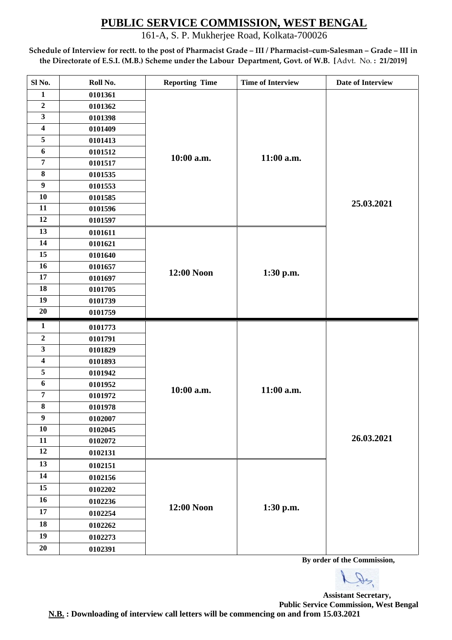161-A, S. P. Mukherjee Road, Kolkata-700026

**Schedule of Interview for rectt. to the post of Pharmacist Grade – III / Pharmacist–cum-Salesman – Grade – III in the Directorate of E.S.I. (M.B.) Scheme under the Labour Department, Govt. of W.B. [**Advt. No. **: 21/2019]**

| Date of Interview |
|-------------------|
|                   |
|                   |
|                   |
|                   |
|                   |
|                   |
|                   |
|                   |
|                   |
| 25.03.2021        |
|                   |
|                   |
|                   |
|                   |
|                   |
|                   |
|                   |
|                   |
|                   |
|                   |
|                   |
|                   |
|                   |
|                   |
|                   |
|                   |
|                   |
|                   |
|                   |
| 26.03.2021        |
|                   |
|                   |
|                   |
|                   |
|                   |
|                   |
|                   |
|                   |
|                   |

**By order of the Commission,**

De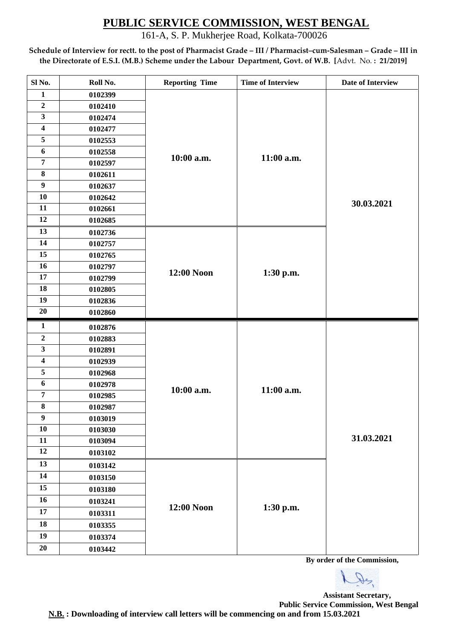161-A, S. P. Mukherjee Road, Kolkata-700026

**Schedule of Interview for rectt. to the post of Pharmacist Grade – III / Pharmacist–cum-Salesman – Grade – III in the Directorate of E.S.I. (M.B.) Scheme under the Labour Department, Govt. of W.B. [**Advt. No. **: 21/2019]**

| Sl No.                  | Roll No. | <b>Reporting Time</b> | <b>Time of Interview</b> | Date of Interview |
|-------------------------|----------|-----------------------|--------------------------|-------------------|
| $\mathbf{1}$            | 0102399  |                       |                          |                   |
| $\overline{2}$          | 0102410  |                       |                          |                   |
| $\overline{\mathbf{3}}$ | 0102474  |                       |                          |                   |
| $\overline{\mathbf{4}}$ | 0102477  |                       |                          |                   |
| 5                       | 0102553  |                       |                          |                   |
| 6                       | 0102558  | 10:00 a.m.            | 11:00 a.m.               |                   |
| $\overline{7}$          | 0102597  |                       |                          |                   |
| $\bf 8$                 | 0102611  |                       |                          |                   |
| $\boldsymbol{9}$        | 0102637  |                       |                          |                   |
| 10                      | 0102642  |                       |                          | 30.03.2021        |
| 11                      | 0102661  |                       |                          |                   |
| 12                      | 0102685  |                       |                          |                   |
| 13                      | 0102736  |                       |                          |                   |
| 14                      | 0102757  |                       |                          |                   |
| 15                      | 0102765  |                       |                          |                   |
| 16                      | 0102797  | 12:00 Noon            | 1:30 p.m.                |                   |
| 17                      | 0102799  |                       |                          |                   |
| 18                      | 0102805  |                       |                          |                   |
| 19                      | 0102836  |                       |                          |                   |
| 20                      | 0102860  |                       |                          |                   |
| $\mathbf{1}$            | 0102876  |                       |                          |                   |
| $\mathbf 2$             | 0102883  |                       | 11:00 a.m.               |                   |
| $\mathbf{3}$            | 0102891  |                       |                          |                   |
| $\overline{\mathbf{4}}$ | 0102939  |                       |                          |                   |
| 5                       | 0102968  |                       |                          |                   |
| 6                       | 0102978  | 10:00 a.m.            |                          |                   |
| $\overline{7}$          | 0102985  |                       |                          |                   |
| 8                       | 0102987  |                       |                          |                   |
| 9                       | 0103019  |                       |                          |                   |
| 10                      | 0103030  |                       |                          | 31.03.2021        |
| 11                      | 0103094  |                       |                          |                   |
| 12                      | 0103102  |                       |                          |                   |
| 13                      | 0103142  |                       |                          |                   |
| 14                      | 0103150  |                       |                          |                   |
| 15                      | 0103180  |                       |                          |                   |
| 16                      | 0103241  | 12:00 Noon            |                          |                   |
| 17                      | 0103311  |                       | 1:30 p.m.                |                   |
| 18                      | 0103355  |                       |                          |                   |
| 19                      | 0103374  |                       |                          |                   |
| $20\,$                  | 0103442  |                       |                          |                   |

**By order of the Commission,**

 $Q_{2}$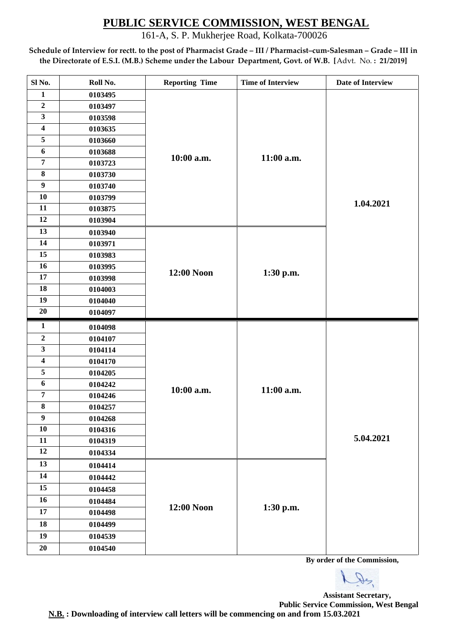161-A, S. P. Mukherjee Road, Kolkata-700026

**Schedule of Interview for rectt. to the post of Pharmacist Grade – III / Pharmacist–cum-Salesman – Grade – III in the Directorate of E.S.I. (M.B.) Scheme under the Labour Department, Govt. of W.B. [**Advt. No. **: 21/2019]**

| Sl No.                  | Roll No. | <b>Reporting Time</b> | <b>Time of Interview</b> | Date of Interview |
|-------------------------|----------|-----------------------|--------------------------|-------------------|
| $\mathbf{1}$            | 0103495  |                       |                          |                   |
| $\overline{2}$          | 0103497  |                       |                          |                   |
| $\overline{\mathbf{3}}$ | 0103598  |                       |                          |                   |
| $\overline{\mathbf{4}}$ | 0103635  |                       |                          |                   |
| 5                       | 0103660  |                       |                          |                   |
| 6                       | 0103688  | 10:00 a.m.            | 11:00 a.m.               |                   |
| $\overline{7}$          | 0103723  |                       |                          |                   |
| $\bf 8$                 | 0103730  |                       |                          |                   |
| $\boldsymbol{9}$        | 0103740  |                       |                          |                   |
| 10                      | 0103799  |                       |                          | 1.04.2021         |
| 11                      | 0103875  |                       |                          |                   |
| 12                      | 0103904  |                       |                          |                   |
| 13                      | 0103940  |                       |                          |                   |
| 14                      | 0103971  |                       |                          |                   |
| 15                      | 0103983  |                       |                          |                   |
| 16                      | 0103995  | 12:00 Noon            | 1:30 p.m.                |                   |
| 17                      | 0103998  |                       |                          |                   |
| 18                      | 0104003  |                       |                          |                   |
| 19                      | 0104040  |                       |                          |                   |
|                         |          |                       |                          |                   |
| 20                      | 0104097  |                       |                          |                   |
| $\mathbf{1}$            | 0104098  |                       |                          |                   |
| $\mathbf 2$             | 0104107  |                       |                          |                   |
| $\mathbf{3}$            | 0104114  |                       |                          |                   |
| $\overline{\mathbf{4}}$ | 0104170  |                       |                          |                   |
| 5                       | 0104205  |                       |                          |                   |
| 6                       | 0104242  |                       |                          |                   |
| $\overline{7}$          | 0104246  | 10:00 a.m.            | 11:00 a.m.               |                   |
| 8                       | 0104257  |                       |                          |                   |
| 9                       | 0104268  |                       |                          |                   |
| 10                      | 0104316  |                       |                          |                   |
| 11                      | 0104319  |                       |                          | 5.04.2021         |
| 12                      | 0104334  |                       |                          |                   |
| 13                      | 0104414  |                       |                          |                   |
| 14                      | 0104442  |                       |                          |                   |
| 15                      | 0104458  |                       |                          |                   |
| 16                      | 0104484  |                       |                          |                   |
| 17                      | 0104498  | 12:00 Noon            | 1:30 p.m.                |                   |
| 18                      | 0104499  |                       |                          |                   |
| 19                      | 0104539  |                       |                          |                   |

**By order of the Commission,**

 $Q_{2}$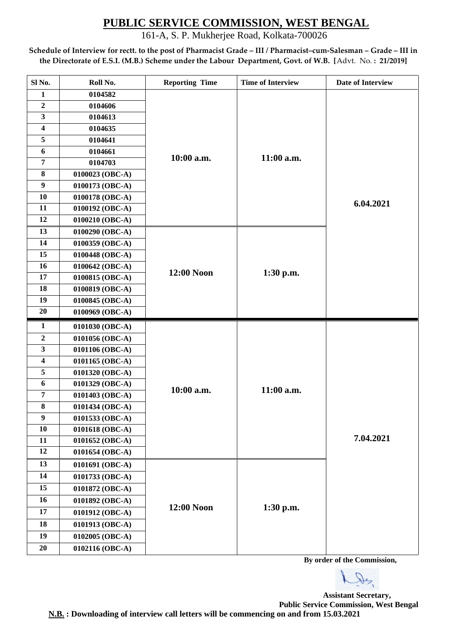161-A, S. P. Mukherjee Road, Kolkata-700026

**Schedule of Interview for rectt. to the post of Pharmacist Grade – III / Pharmacist–cum-Salesman – Grade – III in the Directorate of E.S.I. (M.B.) Scheme under the Labour Department, Govt. of W.B. [**Advt. No. **: 21/2019]**

| Sl No.                  | Roll No.        | <b>Reporting Time</b> | <b>Time of Interview</b> | Date of Interview |
|-------------------------|-----------------|-----------------------|--------------------------|-------------------|
| $\mathbf{1}$            | 0104582         |                       |                          |                   |
| $\overline{2}$          | 0104606         |                       |                          |                   |
| 3                       | 0104613         |                       |                          |                   |
| $\overline{\mathbf{4}}$ | 0104635         |                       |                          |                   |
| 5                       | 0104641         |                       |                          |                   |
| 6                       | 0104661         | 10:00 a.m.            | 11:00 a.m.               |                   |
| $\overline{7}$          | 0104703         |                       |                          |                   |
| $\bf{8}$                | 0100023 (OBC-A) |                       |                          |                   |
| $\boldsymbol{9}$        | 0100173 (OBC-A) |                       |                          |                   |
| 10                      | 0100178 (OBC-A) |                       |                          | 6.04.2021         |
| 11                      | 0100192 (OBC-A) |                       |                          |                   |
| 12                      | 0100210 (OBC-A) |                       |                          |                   |
| 13                      | 0100290 (OBC-A) |                       |                          |                   |
| 14                      | 0100359 (OBC-A) |                       |                          |                   |
| 15                      | 0100448 (OBC-A) |                       | $1:30$ p.m.              |                   |
| 16                      | 0100642 (OBC-A) | 12:00 Noon            |                          |                   |
| 17                      | 0100815 (OBC-A) |                       |                          |                   |
| 18                      | 0100819 (OBC-A) |                       |                          |                   |
| 19                      | 0100845 (OBC-A) |                       |                          |                   |
| 20                      | 0100969 (OBC-A) |                       |                          |                   |
| $\mathbf{1}$            | 0101030 (OBC-A) |                       |                          |                   |
| $\overline{2}$          | 0101056 (OBC-A) |                       | 11:00 a.m.               |                   |
| $\mathbf{3}$            | 0101106 (OBC-A) |                       |                          |                   |
| $\overline{\mathbf{4}}$ | 0101165 (OBC-A) |                       |                          |                   |
| 5                       | 0101320 (OBC-A) |                       |                          |                   |
| 6                       | 0101329 (OBC-A) | 10:00 a.m.            |                          |                   |
| $\overline{7}$          | 0101403 (OBC-A) |                       |                          |                   |
| $\bf{8}$                | 0101434 (OBC-A) |                       |                          |                   |
| $\boldsymbol{9}$        | 0101533 (OBC-A) |                       |                          |                   |
| 10                      | 0101618 (OBC-A) |                       |                          |                   |
| 11                      | 0101652 (OBC-A) |                       |                          | 7.04.2021         |
| 12                      | 0101654 (OBC-A) |                       |                          |                   |
| 13                      | 0101691 (OBC-A) |                       |                          |                   |
| 14                      | 0101733 (OBC-A) |                       |                          |                   |
| 15                      | 0101872 (OBC-A) |                       |                          |                   |
| 16                      | 0101892 (OBC-A) |                       |                          |                   |
| 17                      | 0101912 (OBC-A) | 12:00 Noon            | $1:30$ p.m.              |                   |
| 18                      | 0101913 (OBC-A) |                       |                          |                   |
| 19                      | 0102005 (OBC-A) |                       |                          |                   |
| 20                      | 0102116 (OBC-A) |                       |                          |                   |

**By order of the Commission,**

 $Q_{2}$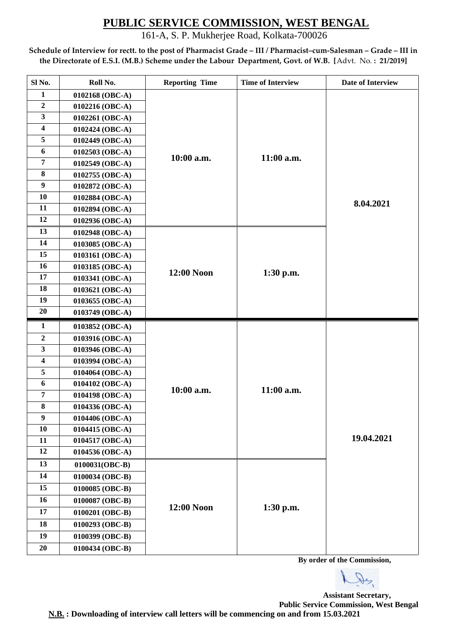161-A, S. P. Mukherjee Road, Kolkata-700026

**Schedule of Interview for rectt. to the post of Pharmacist Grade – III / Pharmacist–cum-Salesman – Grade – III in the Directorate of E.S.I. (M.B.) Scheme under the Labour Department, Govt. of W.B. [**Advt. No. **: 21/2019]**

| Sl No.                  | Roll No.        | <b>Reporting Time</b> | <b>Time of Interview</b> | Date of Interview |
|-------------------------|-----------------|-----------------------|--------------------------|-------------------|
| $\mathbf{1}$            | 0102168 (OBC-A) |                       |                          |                   |
| $\boldsymbol{2}$        | 0102216 (OBC-A) |                       |                          |                   |
| $\mathbf{3}$            | 0102261 (OBC-A) |                       |                          |                   |
| $\overline{\mathbf{4}}$ | 0102424 (OBC-A) |                       |                          |                   |
| 5                       | 0102449 (OBC-A) |                       |                          |                   |
| 6                       | 0102503 (OBC-A) | 10:00 a.m.            | 11:00 a.m.               |                   |
| $\overline{7}$          | 0102549 (OBC-A) |                       |                          |                   |
| $\bf 8$                 | 0102755 (OBC-A) |                       |                          |                   |
| $\boldsymbol{9}$        | 0102872 (OBC-A) |                       |                          |                   |
| 10                      | 0102884 (OBC-A) |                       |                          | 8.04.2021         |
| 11                      | 0102894 (OBC-A) |                       |                          |                   |
| 12                      | 0102936 (OBC-A) |                       |                          |                   |
| 13                      | 0102948 (OBC-A) |                       |                          |                   |
| 14                      | 0103085 (OBC-A) |                       |                          |                   |
| 15                      | 0103161 (OBC-A) |                       |                          |                   |
| 16                      | 0103185 (OBC-A) |                       | 1:30 p.m.                |                   |
| 17                      | 0103341 (OBC-A) | 12:00 Noon            |                          |                   |
| 18                      | 0103621 (OBC-A) |                       |                          |                   |
| 19                      | 0103655 (OBC-A) |                       |                          |                   |
| 20                      | 0103749 (OBC-A) |                       |                          |                   |
| $\mathbf{1}$            | 0103852 (OBC-A) |                       |                          |                   |
| $\boldsymbol{2}$        | 0103916 (OBC-A) |                       | 11:00 a.m.               |                   |
| $\overline{\mathbf{3}}$ | 0103946 (OBC-A) |                       |                          |                   |
| $\overline{\mathbf{4}}$ | 0103994 (OBC-A) |                       |                          |                   |
| 5                       | 0104064 (OBC-A) |                       |                          |                   |
| $\boldsymbol{6}$        | 0104102 (OBC-A) | 10:00 a.m.            |                          |                   |
| $\overline{7}$          | 0104198 (OBC-A) |                       |                          |                   |
| $\bf 8$                 | 0104336 (OBC-A) |                       |                          |                   |
| $\boldsymbol{9}$        | 0104406 (OBC-A) |                       |                          |                   |
| 10                      | 0104415 (OBC-A) |                       |                          |                   |
| 11                      | 0104517 (OBC-A) |                       |                          | 19.04.2021        |
| 12                      | 0104536 (OBC-A) |                       |                          |                   |
| 13                      | 0100031(OBC-B)  |                       |                          |                   |
| 14                      | 0100034 (OBC-B) |                       |                          |                   |
| 15                      | 0100085 (OBC-B) |                       |                          |                   |
| 16                      | 0100087 (OBC-B) |                       |                          |                   |
| 17                      | 0100201 (OBC-B) | 12:00 Noon            | $1:30$ p.m.              |                   |
| 18                      | 0100293 (OBC-B) |                       |                          |                   |
| 19                      | 0100399 (OBC-B) |                       |                          |                   |
| 20                      | 0100434 (OBC-B) |                       |                          |                   |

 **By order of the Commission,**

De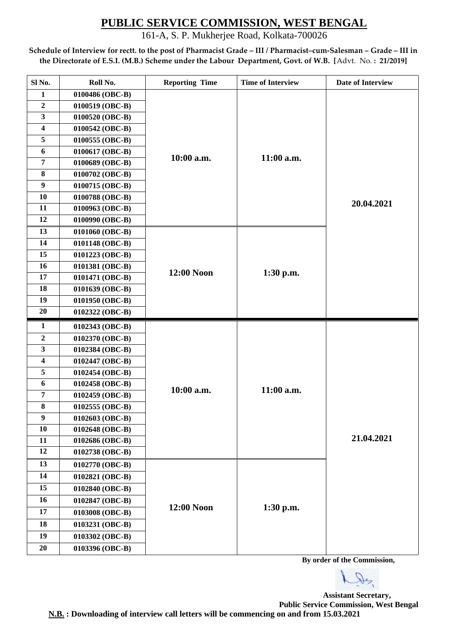161-A, S. P. Mukherjee Road, Kolkata-700026

**Schedule of Interview for rectt. to the post of Pharmacist Grade – III / Pharmacist–cum-Salesman – Grade – III in the Directorate of E.S.I. (M.B.) Scheme under the Labour Department, Govt. of W.B. [**Advt. No. **: 21/2019]**

| Sl No.                  | Roll No.        | <b>Reporting Time</b> | <b>Time of Interview</b> | Date of Interview |
|-------------------------|-----------------|-----------------------|--------------------------|-------------------|
| $\mathbf{1}$            | 0100486 (OBC-B) |                       |                          |                   |
| $\overline{2}$          | 0100519 (OBC-B) |                       |                          |                   |
| 3                       | 0100520 (OBC-B) |                       |                          |                   |
| $\overline{\mathbf{4}}$ | 0100542 (OBC-B) |                       |                          |                   |
| 5                       | 0100555 (OBC-B) |                       |                          |                   |
| 6                       | 0100617 (OBC-B) | 10:00 a.m.            | $11:00$ a.m.             |                   |
| $\overline{7}$          | 0100689 (OBC-B) |                       |                          |                   |
| $\bf{8}$                | 0100702 (OBC-B) |                       |                          |                   |
| $\boldsymbol{9}$        | 0100715 (OBC-B) |                       |                          |                   |
| 10                      | 0100788 (OBC-B) |                       |                          | 20.04.2021        |
| 11                      | 0100963 (OBC-B) |                       |                          |                   |
| 12                      | 0100990 (OBC-B) |                       |                          |                   |
| 13                      | 0101060 (OBC-B) |                       |                          |                   |
| 14                      | 0101148 (OBC-B) |                       |                          |                   |
| 15                      | 0101223 (OBC-B) | 12:00 Noon            | $1:30$ p.m.              |                   |
| 16                      | 0101381 (OBC-B) |                       |                          |                   |
| 17                      | 0101471 (OBC-B) |                       |                          |                   |
| 18                      | 0101639 (OBC-B) |                       |                          |                   |
| 19                      | 0101950 (OBC-B) |                       |                          |                   |
| 20                      | 0102322 (OBC-B) |                       |                          |                   |
| $\mathbf{1}$            | 0102343 (OBC-B) |                       |                          |                   |
| $\mathbf 2$             | 0102370 (OBC-B) |                       | $11:00$ a.m.             |                   |
| 3                       | 0102384 (OBC-B) |                       |                          |                   |
| 4                       | 0102447 (OBC-B) |                       |                          |                   |
| 5                       | 0102454 (OBC-B) |                       |                          |                   |
| 6                       | 0102458 (OBC-B) | 10:00 a.m.            |                          |                   |
| $\overline{7}$          | 0102459 (OBC-B) |                       |                          |                   |
| $\bf{8}$                | 0102555 (OBC-B) |                       |                          |                   |
| $\boldsymbol{9}$        | 0102603 (OBC-B) |                       |                          |                   |
| 10                      | 0102648 (OBC-B) |                       |                          |                   |
| 11                      | 0102686 (OBC-B) |                       |                          | 21.04.2021        |
| 12                      | 0102738 (OBC-B) |                       |                          |                   |
| 13                      | 0102770 (OBC-B) |                       |                          |                   |
| 14                      | 0102821 (OBC-B) |                       |                          |                   |
| 15                      | 0102840 (OBC-B) |                       |                          |                   |
| 16                      | 0102847 (OBC-B) |                       |                          |                   |
| 17                      |                 | 12:00 Noon            | 1:30 p.m.                |                   |
|                         | 0103008 (OBC-B) |                       |                          |                   |
| 18                      | 0103231 (OBC-B) |                       |                          |                   |
| 19                      | 0103302 (OBC-B) |                       |                          |                   |

 **By order of the Commission,**

De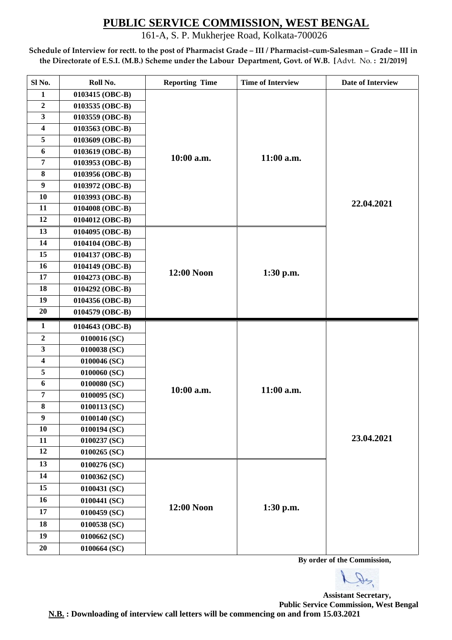161-A, S. P. Mukherjee Road, Kolkata-700026

**Schedule of Interview for rectt. to the post of Pharmacist Grade – III / Pharmacist–cum-Salesman – Grade – III in the Directorate of E.S.I. (M.B.) Scheme under the Labour Department, Govt. of W.B. [**Advt. No. **: 21/2019]**

| Sl No.                  | Roll No.        | <b>Reporting Time</b> | <b>Time of Interview</b> | Date of Interview |
|-------------------------|-----------------|-----------------------|--------------------------|-------------------|
| $\mathbf{1}$            | 0103415 (OBC-B) |                       |                          |                   |
| $\overline{2}$          | 0103535 (OBC-B) |                       |                          |                   |
| $\mathbf{3}$            | 0103559 (OBC-B) |                       |                          |                   |
| $\overline{\mathbf{4}}$ | 0103563 (OBC-B) |                       |                          |                   |
| 5                       | 0103609 (OBC-B) |                       |                          |                   |
| 6                       | 0103619 (OBC-B) | 10:00 a.m.            | 11:00 a.m.               |                   |
| $\overline{7}$          | 0103953 (OBC-B) |                       |                          |                   |
| 8                       | 0103956 (OBC-B) |                       |                          |                   |
| $\boldsymbol{9}$        | 0103972 (OBC-B) |                       |                          |                   |
| 10                      | 0103993 (OBC-B) |                       |                          | 22.04.2021        |
| 11                      | 0104008 (OBC-B) |                       |                          |                   |
| 12                      | 0104012 (OBC-B) |                       |                          |                   |
| 13                      | 0104095 (OBC-B) |                       |                          |                   |
| 14                      | 0104104 (OBC-B) |                       |                          |                   |
| 15                      | 0104137 (OBC-B) |                       |                          |                   |
| 16                      | 0104149 (OBC-B) | 12:00 Noon            | 1:30 p.m.                |                   |
| 17                      | 0104273 (OBC-B) |                       |                          |                   |
| 18                      | 0104292 (OBC-B) |                       |                          |                   |
| 19                      | 0104356 (OBC-B) |                       |                          |                   |
| 20                      | 0104579 (OBC-B) |                       |                          |                   |
| $\mathbf{1}$            | 0104643 (OBC-B) |                       |                          |                   |
| $\boldsymbol{2}$        | 0100016 (SC)    |                       | 11:00 a.m.               |                   |
| $\mathbf{3}$            | 0100038 (SC)    |                       |                          |                   |
| $\overline{\mathbf{4}}$ | 0100046 (SC)    |                       |                          |                   |
| 5                       | 0100060 (SC)    |                       |                          |                   |
| $\boldsymbol{6}$        | 0100080 (SC)    | 10:00 a.m.            |                          |                   |
| $\overline{7}$          | 0100095 (SC)    |                       |                          |                   |
| 8                       | 0100113 (SC)    |                       |                          |                   |
| $\boldsymbol{9}$        | 0100140 (SC)    |                       |                          |                   |
| 10                      | 0100194 (SC)    |                       |                          |                   |
| 11                      | 0100237 (SC)    |                       |                          | 23.04.2021        |
| 12                      | 0100265 (SC)    |                       |                          |                   |
| 13                      | 0100276 (SC)    |                       |                          |                   |
| 14                      |                 |                       |                          |                   |
|                         | 0100362 (SC)    |                       |                          |                   |
| 15                      | 0100431 (SC)    |                       |                          |                   |
| 16                      | 0100441 (SC)    |                       |                          |                   |
| 17                      | 0100459 (SC)    | 12:00 Noon            | 1:30 p.m.                |                   |
| 18                      | 0100538 (SC)    |                       |                          |                   |
| 19                      | 0100662 (SC)    |                       |                          |                   |
| 20                      | 0100664 (SC)    |                       |                          |                   |

 **By order of the Commission,**

De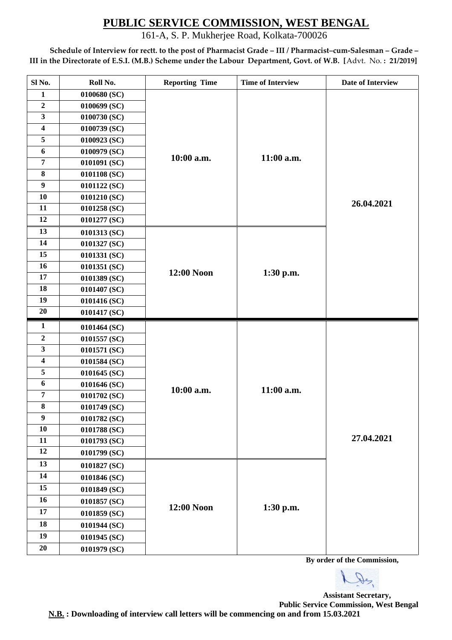161-A, S. P. Mukherjee Road, Kolkata-700026

**Schedule of Interview for rectt. to the post of Pharmacist Grade – III / Pharmacist–cum-Salesman – Grade – III in the Directorate of E.S.I. (M.B.) Scheme under the Labour Department, Govt. of W.B. [**Advt. No. **: 21/2019]**

| Sl <sub>No.</sub>       | Roll No.       | <b>Reporting Time</b> | <b>Time of Interview</b> | Date of Interview |
|-------------------------|----------------|-----------------------|--------------------------|-------------------|
| $\mathbf{1}$            | 0100680 (SC)   |                       |                          |                   |
| $\overline{2}$          | 0100699 (SC)   |                       |                          |                   |
| $\overline{\mathbf{3}}$ | 0100730 (SC)   |                       |                          |                   |
| $\overline{\mathbf{4}}$ | $0100739$ (SC) |                       |                          |                   |
| 5                       | 0100923 (SC)   |                       |                          |                   |
| 6                       | $0100979$ (SC) | 10:00 a.m.            | 11:00 a.m.               |                   |
| $\overline{7}$          | 0101091 (SC)   |                       |                          |                   |
| 8                       | 0101108 (SC)   |                       |                          |                   |
| $\boldsymbol{9}$        | 0101122 (SC)   |                       |                          |                   |
| 10                      | 0101210(SC)    |                       |                          | 26.04.2021        |
| 11                      | 0101258 (SC)   |                       |                          |                   |
| 12                      | 0101277(SC)    |                       |                          |                   |
| 13                      | 0101313 (SC)   |                       |                          |                   |
| 14                      | 0101327 (SC)   |                       |                          |                   |
| 15                      | 0101331 (SC)   |                       |                          |                   |
| 16                      | 0101351 (SC)   | 12:00 Noon            |                          |                   |
| 17                      | 0101389 (SC)   |                       | 1:30 p.m.                |                   |
| 18                      | 0101407 (SC)   |                       |                          |                   |
| 19                      | 0101416 (SC)   |                       |                          |                   |
| 20                      | 0101417 (SC)   |                       |                          |                   |
| $\mathbf{1}$            | 0101464 (SC)   |                       |                          |                   |
| $\overline{2}$          | 0101557(SC)    |                       |                          |                   |
| $\mathbf{3}$            | 0101571 (SC)   |                       |                          |                   |
| $\overline{\mathbf{4}}$ | $0101584$ (SC) |                       |                          |                   |
| 5                       | 0101645 (SC)   |                       |                          |                   |
| 6                       | 0101646 (SC)   | 10:00 a.m.            | 11:00 a.m.               |                   |
| $\overline{7}$          | 0101702 (SC)   |                       |                          |                   |
| 8                       | 0101749 (SC)   |                       |                          |                   |
| $\boldsymbol{9}$        | 0101782 (SC)   |                       |                          |                   |
| 10                      | 0101788 (SC)   |                       |                          |                   |
| 11                      | 0101793 (SC)   |                       |                          | 27.04.2021        |
| 12                      | 0101799 (SC)   |                       |                          |                   |
| 13                      | 0101827 (SC)   |                       |                          |                   |
| 14                      | 0101846 (SC)   |                       |                          |                   |
| 15                      | 0101849 (SC)   |                       |                          |                   |
| 16                      | 0101857 (SC)   |                       |                          |                   |
| 17                      | 0101859 (SC)   | 12:00 Noon            | 1:30 p.m.                |                   |
| 18                      | 0101944 (SC)   |                       |                          |                   |
| 19                      | 0101945 (SC)   |                       |                          |                   |
| 20                      | 0101979 (SC)   |                       |                          |                   |
|                         |                |                       |                          |                   |

 **By order of the Commission,**

De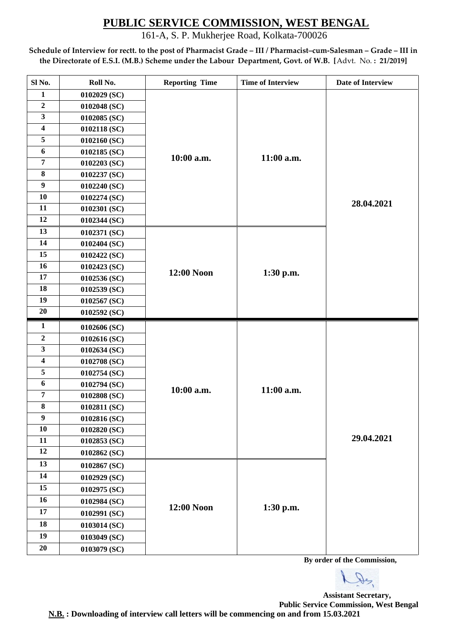161-A, S. P. Mukherjee Road, Kolkata-700026

**Schedule of Interview for rectt. to the post of Pharmacist Grade – III / Pharmacist–cum-Salesman – Grade – III in the Directorate of E.S.I. (M.B.) Scheme under the Labour Department, Govt. of W.B. [**Advt. No. **: 21/2019]**

| Sl No.                  | Roll No.     | <b>Reporting Time</b> | <b>Time of Interview</b> | Date of Interview |
|-------------------------|--------------|-----------------------|--------------------------|-------------------|
| $\mathbf{1}$            | 0102029 (SC) |                       |                          |                   |
| $\overline{2}$          | 0102048 (SC) |                       |                          |                   |
| $\overline{\mathbf{3}}$ | 0102085 (SC) |                       |                          |                   |
| $\overline{\mathbf{4}}$ | 0102118 (SC) |                       |                          |                   |
| 5                       | 0102160 (SC) |                       |                          |                   |
| 6                       | 0102185 (SC) | 10:00 a.m.            | 11:00 a.m.               |                   |
| $\overline{7}$          | 0102203 (SC) |                       |                          |                   |
| $\bf{8}$                | 0102237 (SC) |                       |                          |                   |
| $\boldsymbol{9}$        | 0102240 (SC) |                       |                          |                   |
| 10                      | 0102274 (SC) |                       |                          | 28.04.2021        |
| 11                      | 0102301 (SC) |                       |                          |                   |
| 12                      | 0102344 (SC) |                       |                          |                   |
| 13                      | 0102371 (SC) |                       |                          |                   |
| 14                      | 0102404 (SC) |                       |                          |                   |
| 15                      | 0102422 (SC) |                       |                          |                   |
| 16                      | 0102423 (SC) |                       | $1:30$ p.m.              |                   |
| 17                      | 0102536 (SC) | 12:00 Noon            |                          |                   |
| 18                      | 0102539 (SC) |                       |                          |                   |
| 19                      | 0102567 (SC) |                       |                          |                   |
| 20                      | 0102592 (SC) |                       |                          |                   |
| $\mathbf{1}$            | 0102606 (SC) |                       |                          |                   |
| $\mathbf 2$             | 0102616 (SC) |                       | 11:00 a.m.               |                   |
| $\overline{\mathbf{3}}$ | 0102634 (SC) |                       |                          |                   |
| $\overline{\mathbf{4}}$ | 0102708 (SC) |                       |                          |                   |
| 5                       | 0102754 (SC) |                       |                          |                   |
| $\boldsymbol{6}$        | 0102794 (SC) | 10:00 a.m.            |                          |                   |
| $\overline{7}$          | 0102808 (SC) |                       |                          |                   |
| 8                       | 0102811 (SC) |                       |                          |                   |
| $\boldsymbol{9}$        | 0102816 (SC) |                       |                          |                   |
| 10                      | 0102820 (SC) |                       |                          |                   |
| 11                      | 0102853 (SC) |                       |                          | 29.04.2021        |
| 12                      | 0102862 (SC) |                       |                          |                   |
| 13                      | 0102867 (SC) |                       |                          |                   |
| 14                      | 0102929 (SC) |                       |                          |                   |
| 15                      | 0102975 (SC) |                       |                          |                   |
| 16                      | 0102984 (SC) |                       |                          |                   |
| 17                      | 0102991 (SC) | 12:00 Noon            | 1:30 p.m.                |                   |
| 18                      | 0103014 (SC) |                       |                          |                   |
| 19                      | 0103049 (SC) |                       |                          |                   |
|                         |              |                       |                          |                   |
| 20                      | 0103079 (SC) |                       |                          |                   |

 **By order of the Commission,**

De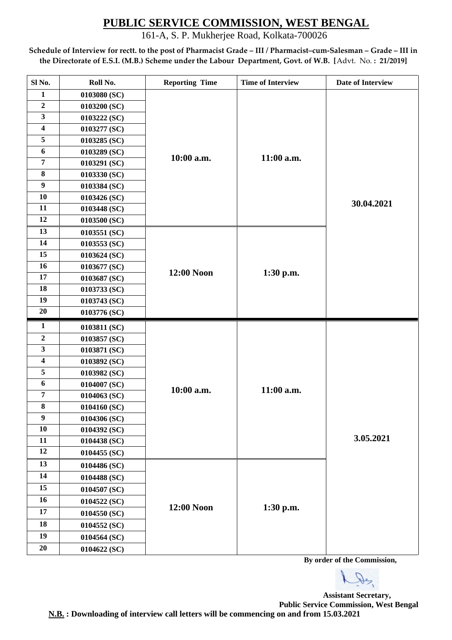161-A, S. P. Mukherjee Road, Kolkata-700026

**Schedule of Interview for rectt. to the post of Pharmacist Grade – III / Pharmacist–cum-Salesman – Grade – III in the Directorate of E.S.I. (M.B.) Scheme under the Labour Department, Govt. of W.B. [**Advt. No. **: 21/2019]**

| Sl No.                  | Roll No.     | <b>Reporting Time</b> | <b>Time of Interview</b> | Date of Interview |
|-------------------------|--------------|-----------------------|--------------------------|-------------------|
| $\mathbf{1}$            | 0103080 (SC) |                       |                          |                   |
| $\overline{2}$          | 0103200 (SC) |                       |                          |                   |
| $\overline{\mathbf{3}}$ | 0103222 (SC) |                       |                          |                   |
| $\overline{\mathbf{4}}$ | 0103277 (SC) |                       |                          |                   |
| 5                       | 0103285 (SC) |                       |                          |                   |
| 6                       | 0103289 (SC) | 10:00 a.m.            | 11:00 a.m.               |                   |
| $\overline{7}$          | 0103291 (SC) |                       |                          |                   |
| $\bf{8}$                | 0103330 (SC) |                       |                          |                   |
| $\boldsymbol{9}$        | 0103384 (SC) |                       |                          |                   |
| 10                      | 0103426 (SC) |                       |                          | 30.04.2021        |
| 11                      | 0103448 (SC) |                       |                          |                   |
| 12                      | 0103500 (SC) |                       |                          |                   |
| 13                      | 0103551 (SC) |                       |                          |                   |
| 14                      | 0103553 (SC) |                       |                          |                   |
| 15                      | 0103624 (SC) |                       |                          |                   |
| 16                      | 0103677 (SC) | 12:00 Noon            | 1:30 p.m.                |                   |
| 17                      | 0103687 (SC) |                       |                          |                   |
| 18                      | 0103733 (SC) |                       |                          |                   |
| 19                      | 0103743 (SC) |                       |                          |                   |
| 20                      | 0103776 (SC) |                       |                          |                   |
| $\mathbf{1}$            | 0103811 (SC) |                       |                          |                   |
| $\mathbf 2$             | 0103857 (SC) |                       | 11:00 a.m.               |                   |
| 3                       | 0103871 (SC) |                       |                          |                   |
| $\overline{\mathbf{4}}$ | 0103892 (SC) |                       |                          |                   |
| 5                       | 0103982 (SC) |                       |                          |                   |
| $\boldsymbol{6}$        | 0104007 (SC) | 10:00 a.m.            |                          |                   |
| $\overline{7}$          | 0104063 (SC) |                       |                          |                   |
| 8                       | 0104160 (SC) |                       |                          |                   |
| $\boldsymbol{9}$        | 0104306 (SC) |                       |                          |                   |
| 10                      | 0104392 (SC) |                       |                          |                   |
| 11                      | 0104438 (SC) |                       |                          | 3.05.2021         |
| 12                      | 0104455 (SC) |                       |                          |                   |
| 13                      | 0104486 (SC) |                       |                          |                   |
| 14                      | 0104488 (SC) |                       |                          |                   |
| 15                      | 0104507 (SC) |                       |                          |                   |
| 16                      | 0104522 (SC) |                       |                          |                   |
| 17                      | 0104550 (SC) | 12:00 Noon            | 1:30 p.m.                |                   |
| 18                      | 0104552 (SC) |                       |                          |                   |
| 19                      | 0104564 (SC) |                       |                          |                   |
| 20                      | 0104622 (SC) |                       |                          |                   |

 **By order of the Commission,**

De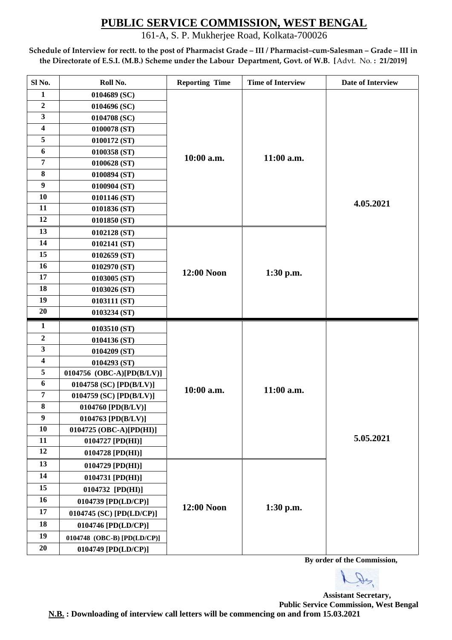161-A, S. P. Mukherjee Road, Kolkata-700026

**Schedule of Interview for rectt. to the post of Pharmacist Grade – III / Pharmacist–cum-Salesman – Grade – III in the Directorate of E.S.I. (M.B.) Scheme under the Labour Department, Govt. of W.B. [**Advt. No. **: 21/2019]**

| Sl No.                  | Roll No.                    | <b>Reporting Time</b> | <b>Time of Interview</b> | Date of Interview |
|-------------------------|-----------------------------|-----------------------|--------------------------|-------------------|
| $\mathbf{1}$            | 0104689 (SC)                |                       |                          |                   |
| $\overline{2}$          | 0104696 (SC)                |                       |                          |                   |
| 3                       | 0104708 (SC)                |                       |                          |                   |
| $\overline{\mathbf{4}}$ | 0100078 (ST)                |                       |                          |                   |
| 5                       | 0100172 (ST)                |                       |                          |                   |
| 6                       | 0100358 (ST)                | 10:00 a.m.            | 11:00 a.m.               |                   |
| $\overline{7}$          | 0100628 (ST)                |                       |                          |                   |
| $\bf{8}$                | 0100894 (ST)                |                       |                          |                   |
| $\boldsymbol{9}$        | 0100904 (ST)                |                       |                          |                   |
| 10                      | 0101146 (ST)                |                       |                          | 4.05.2021         |
| 11                      | 0101836 (ST)                |                       |                          |                   |
| 12                      | 0101850 (ST)                |                       |                          |                   |
| 13                      | 0102128(ST)                 |                       |                          |                   |
| 14                      | 0102141 (ST)                |                       |                          |                   |
| 15                      | 0102659 (ST)                |                       |                          |                   |
| 16                      | 0102970 (ST)                | 12:00 Noon            | $1:30$ p.m.              |                   |
| 17                      | 0103005 (ST)                |                       |                          |                   |
| 18                      | 0103026 (ST)                |                       |                          |                   |
| 19                      | 0103111 (ST)                |                       |                          |                   |
| 20                      | 0103234 (ST)                |                       |                          |                   |
| $\mathbf{1}$            | 0103510 (ST)                |                       |                          |                   |
|                         |                             |                       |                          |                   |
| $\boldsymbol{2}$        | 0104136 (ST)                |                       |                          |                   |
| 3                       | 0104209 (ST)                |                       |                          |                   |
| 4                       | 0104293 (ST)                |                       |                          |                   |
| 5                       | 0104756 (OBC-A)[PD(B/LV)]   |                       |                          |                   |
| 6                       | 0104758 (SC) $[PD(B/LV)]$   |                       |                          |                   |
| $\overline{7}$          | 0104759 (SC) [PD(B/LV)]     | 10:00 a.m.            | 11:00 a.m.               |                   |
| $\bf{8}$                | 0104760 [PD(B/LV)]          |                       |                          |                   |
| $\boldsymbol{9}$        | 0104763 [PD(B/LV)]          |                       |                          |                   |
| 10                      | 0104725 (OBC-A)[PD(HI)]     |                       |                          |                   |
| 11                      | 0104727 [PD(HI)]            |                       |                          | 5.05.2021         |
| 12                      | 0104728 [PD(HI)]            |                       |                          |                   |
| 13                      | $0104729$ [PD(HI)]          |                       |                          |                   |
| 14                      | 0104731 [PD(HI)]            |                       |                          |                   |
| 15                      | 0104732 [PD(HI)]            |                       |                          |                   |
| 16                      | 0104739 [PD(LD/CP)]         |                       |                          |                   |
| 17                      | 0104745 (SC) [PD(LD/CP)]    | 12:00 Noon            | 1:30 p.m.                |                   |
| 18                      | 0104746 [PD(LD/CP)]         |                       |                          |                   |
| 19                      | 0104748 (OBC-B) [PD(LD/CP)] |                       |                          |                   |
| 20                      | 0104749 [PD(LD/CP)]         |                       |                          |                   |

 **By order of the Commission,**

De

**Assistant Secretary, Public Service Commission, West Bengal**

**N.B. : Downloading of interview call letters will be commencing on and from 15.03.2021**